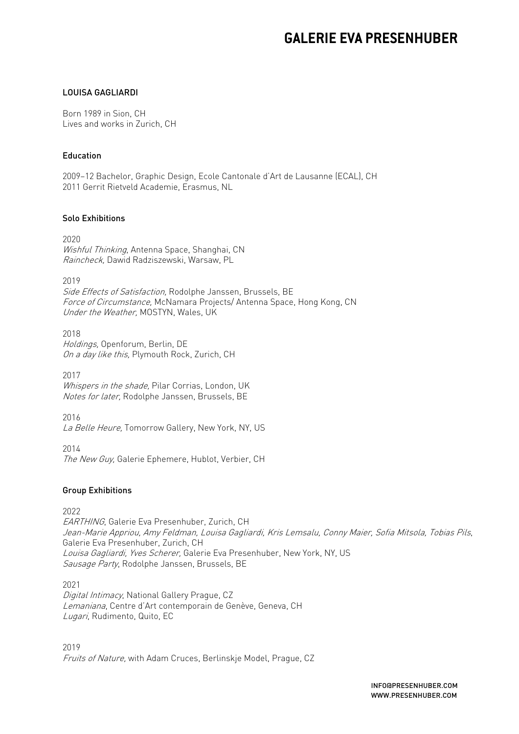# **GALERIE EVA PRESENHUBER**

### LOUISA GAGLIARDI

Born 1989 in Sion, CH Lives and works in Zurich, CH

#### Education

2009–12 Bachelor, Graphic Design, Ecole Cantonale d'Art de Lausanne (ECAL), CH 2011 Gerrit Rietveld Academie, Erasmus, NL

#### Solo Exhibitions

2020 Wishful Thinking, Antenna Space, Shanghai, CN Raincheck, Dawid Radziszewski, Warsaw, PL

2019 Side Effects of Satisfaction, Rodolphe Janssen, Brussels, BE Force of Circumstance, McNamara Projects/Antenna Space, Hong Kong, CN Under the Weather, MOSTYN, Wales, UK

2018 Holdings, Openforum, Berlin, DE On a day like this, Plymouth Rock, Zurich, CH

2017 Whispers in the shade, Pilar Corrias, London, UK Notes for later, Rodolphe Janssen, Brussels, BE

2016 La Belle Heure, Tomorrow Gallery, New York, NY, US

2014 The New Guy, Galerie Ephemere, Hublot, Verbier, CH

#### Group Exhibitions

2022

EARTHING, Galerie Eva Presenhuber, Zurich, CH Jean-Marie Appriou, Amy Feldman, Louisa Gagliardi, Kris Lemsalu, Conny Maier, Sofia Mitsola, Tobias Pils, Galerie Eva Presenhuber, Zurich, CH Louisa Gagliardi, Yves Scherer, Galerie Eva Presenhuber, New York, NY, US Sausage Party, Rodolphe Janssen, Brussels, BE

2021 Digital Intimacy, National Gallery Prague, CZ Lemaniana, Centre d'Art contemporain de Genève, Geneva, CH Lugari, Rudimento, Quito, EC

2019 Fruits of Nature, with Adam Cruces, Berlinskje Model, Prague, CZ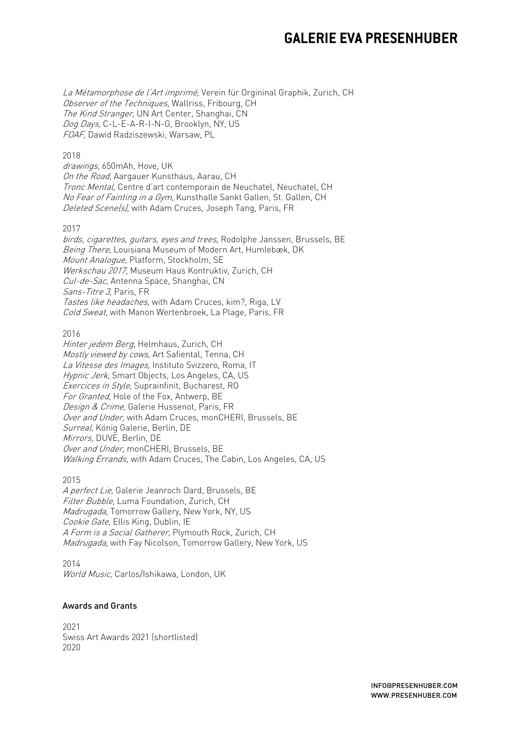# **GALERIE EVA PRESENHUBER**

La Métamorphose de l'Art imprimé, Verein für Orgininal Graphik, Zurich, CH Observer of the Techniques, Wallriss, Fribourg, CH The Kind Stranger, UN Art Center, Shanghai, CN Dog Days, C-L-E-A-R-I-N-G, Brooklyn, NY, US FOAF, Dawid Radziszewski, Warsaw, PL

#### 2018

drawings, 650mAh, Hove, UK On the Road, Aargauer Kunsthaus, Aarau, CH Tronc Mental, Centre d'art contemporain de Neuchatel, Neuchatel, CH No Fear of Fainting in a Gym, Kunsthalle Sankt Gallen, St. Gallen, CH Deleted Scene(s), with Adam Cruces, Joseph Tang, Paris, FR

#### 2017

birds, cigarettes, guitars, eyes and trees, Rodolphe Janssen, Brussels, BE Being There, Louisiana Museum of Modern Art, Humlebæk, DK Mount Analogue, Platform, Stockholm, SE Werkschau 2017, Museum Haus Kontruktiv, Zurich, CH Cul-de-Sac, Antenna Space, Shanghai, CN Sans-Titre 3, Paris, FR Tastes like headaches, with Adam Cruces, kim?, Riga, LV Cold Sweat, with Manon Wertenbroek, La Plage, Paris, FR

2016

Hinter jedem Berg, Helmhaus, Zurich, CH Mostly viewed by cows, Art Safiental, Tenna, CH La Vitesse des Images, Instituto Svizzero, Roma, IT Hypnic Jerk, Smart Objects, Los Angeles, CA, US Exercices in Style, Suprainfinit, Bucharest, RO For Granted, Hole of the Fox, Antwerp, BE Design & Crime, Galerie Hussenot, Paris, FR Over and Under, with Adam Cruces, monCHERI, Brussels, BE Surreal, König Galerie, Berlin, DE Mirrors, DUVE, Berlin, DE Over and Under, monCHERI, Brussels, BE Walking Errands, with Adam Cruces, The Cabin, Los Angeles, CA, US

2015

A perfect Lie, Galerie Jeanroch Dard, Brussels, BE Filter Bubble, Luma Foundation, Zurich, CH Madrugada, Tomorrow Gallery, New York, NY, US Cookie Gate, Ellis King, Dublin, IE A Form is a Social Gatherer, Plymouth Rock, Zurich, CH Madrugada, with Fay Nicolson, Tomorrow Gallery, New York, US

2014 World Music, Carlos/Ishikawa, London, UK

#### Awards and Grants

2021 Swiss Art Awards 2021 (shortlisted) 2020